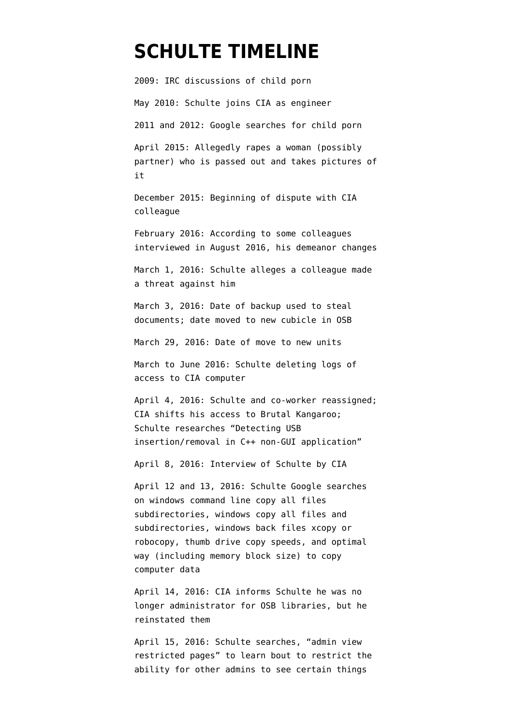# **[SCHULTE TIMELINE](https://www.emptywheel.net/portfolio-item/schulte-timeline/)**

2009: IRC discussions of child porn May 2010: Schulte joins CIA as engineer 2011 and 2012: Google searches for child porn April 2015: Allegedly rapes a woman (possibly partner) who is passed out and takes pictures of

December 2015: Beginning of dispute with CIA colleague

it

February 2016: According to some colleagues interviewed in August 2016, his demeanor changes

March 1, 2016: Schulte alleges a colleague made a threat against him

March 3, 2016: Date of backup used to steal documents; date moved to new cubicle in OSB

March 29, 2016: Date of move to new units

March to June 2016: Schulte deleting logs of access to CIA computer

April 4, 2016: Schulte and co-worker reassigned; CIA shifts his access to Brutal Kangaroo; Schulte researches "Detecting USB insertion/removal in C++ non-GUI application"

April 8, 2016: Interview of Schulte by CIA

April 12 and 13, 2016: Schulte Google [searches](https://www.courtlistener.com/recap/gov.uscourts.nysd.480183/gov.uscourts.nysd.480183.111.3.pdf) on windows command line copy all files subdirectories, windows copy all files and subdirectories, windows back files xcopy or robocopy, thumb drive copy speeds, and optimal way (including memory block size) to copy computer data

April 14, 2016: CIA informs Schulte he was no longer administrator for OSB libraries, but he reinstated them

April 15, 2016: Schulte searches, "admin view restricted pages" to learn bout to restrict the ability for other admins to see certain things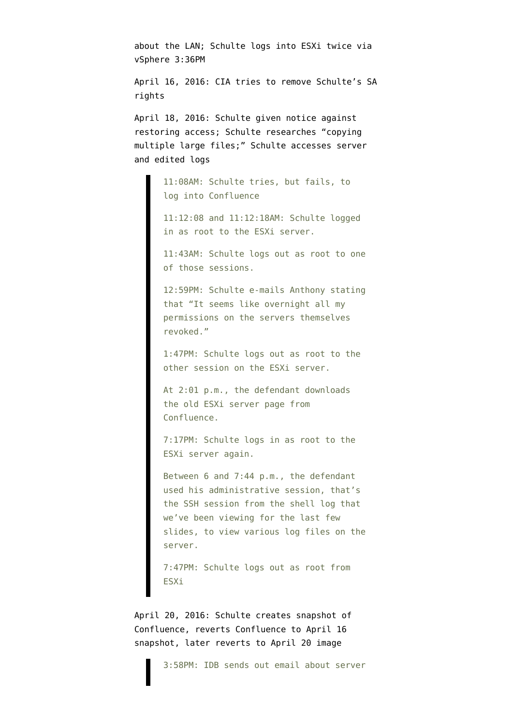about the LAN; Schulte logs into ESXi twice via vSphere 3:36PM

April 16, 2016: CIA tries to remove Schulte's SA rights

April 18, 2016: Schulte given notice against restoring access; Schulte researches "copying multiple large files;" Schulte [accesses](https://www.documentcloud.org/documents/6776044-200212-Schulte-Trial-Transcript.html) server and edited logs

> 11:08AM: Schulte tries, but fails, to log into Confluence

11:12:08 and 11:12:18AM: Schulte logged in as root to the ESXi server.

11:43AM: Schulte logs out as root to one of those sessions.

12:59PM: Schulte e-mails Anthony stating that "It seems like overnight all my permissions on the servers themselves revoked."

1:47PM: Schulte logs out as root to the other session on the ESXi server.

At 2:01 p.m., the defendant downloads the old ESXi server page from Confluence.

7:17PM: Schulte logs in as root to the ESXi server again.

Between 6 and 7:44 p.m., the defendant used his administrative session, that's the SSH session from the shell log that we've been viewing for the last few slides, to view various log files on the server.

7:47PM: Schulte logs out as root from ESXi

April 20, 2016: Schulte creates snapshot of Confluence, reverts Confluence to April 16 snapshot, later reverts to April 20 image

3:58PM: IDB sends out email about server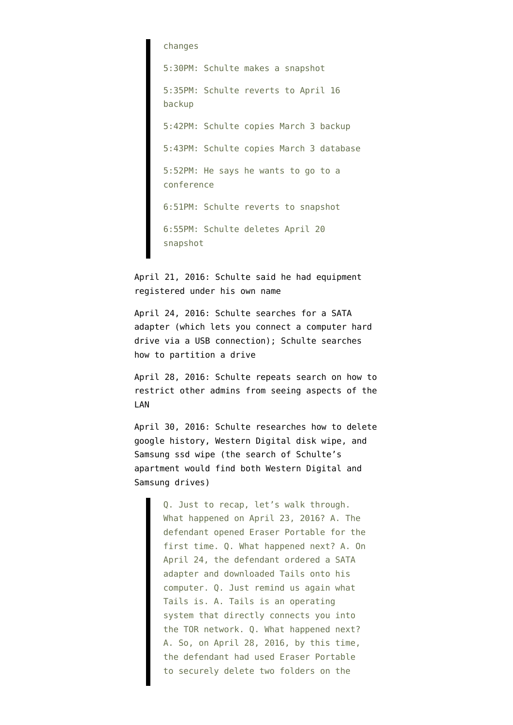changes 5:30PM: Schulte makes a snapshot 5:35PM: Schulte reverts to April 16 backup 5:42PM: Schulte copies March 3 backup 5:43PM: Schulte copies March 3 database 5:52PM: He says he wants to go to a conference 6:51PM: Schulte reverts to snapshot 6:55PM: Schulte deletes April 20 snapshot

April 21, 2016: Schulte said he had equipment registered under his own name

April 24, 2016: Schulte searches for a SATA adapter (which lets you connect a computer hard drive via a USB connection); Schulte searches how to partition a drive

April 28, 2016: Schulte repeats search on how to restrict other admins from seeing aspects of the LAN

April 30, 2016: Schulte researches how to delete google history, Western Digital disk wipe, and Samsung ssd wipe (the search of Schulte's apartment would find both Western Digital and Samsung drives)

> Q. Just to recap, let's walk through. What happened on April 23, 2016? A. The defendant opened Eraser Portable for the first time. Q. What happened next? A. On April 24, the defendant ordered a SATA adapter and downloaded Tails onto his computer. Q. Just remind us again what Tails is. A. Tails is an operating system that directly connects you into the TOR network. Q. What happened next? A. So, on April 28, 2016, by this time, the defendant had used Eraser Portable to securely delete two folders on the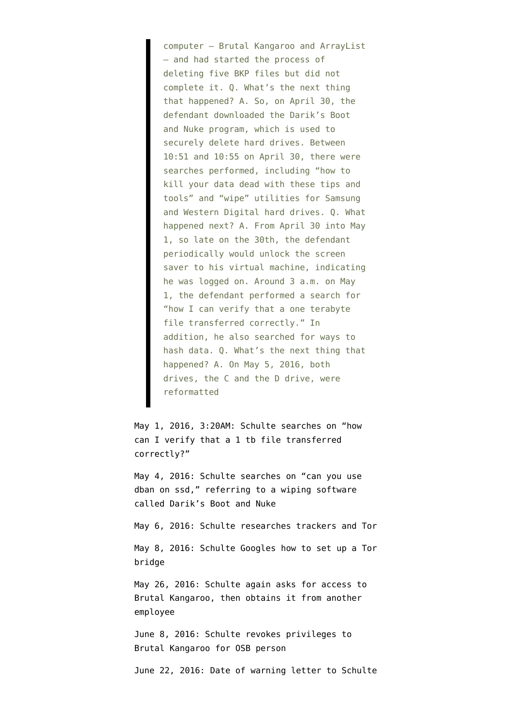computer — Brutal Kangaroo and ArrayList — and had started the process of deleting five BKP files but did not complete it. Q. What's the next thing that happened? A. So, on April 30, the defendant downloaded the Darik's Boot and Nuke program, which is used to securely delete hard drives. Between 10:51 and 10:55 on April 30, there were searches performed, including "how to kill your data dead with these tips and tools" and "wipe" utilities for Samsung and Western Digital hard drives. Q. What happened next? A. From April 30 into May 1, so late on the 30th, the defendant periodically would unlock the screen saver to his virtual machine, indicating he was logged on. Around 3 a.m. on May 1, the defendant performed a search for "how I can verify that a one terabyte file transferred correctly." In addition, he also searched for ways to hash data. Q. What's the next thing that happened? A. On May 5, 2016, both drives, the C and the D drive, were reformatted

May 1, 2016, 3:20AM: Schulte searches on "how can I verify that a 1 tb file transferred correctly?"

May 4, 2016: Schulte searches on "can you use dban on ssd," referring to a wiping software called Darik's Boot and Nuke

May 6, 2016: Schulte researches trackers and Tor

May 8, 2016: Schulte Googles how to set up a Tor bridge

May 26, 2016: Schulte again asks for access to Brutal Kangaroo, then obtains it from another employee

June 8, 2016: Schulte revokes privileges to Brutal Kangaroo for OSB person

June 22, 2016: Date of warning letter to Schulte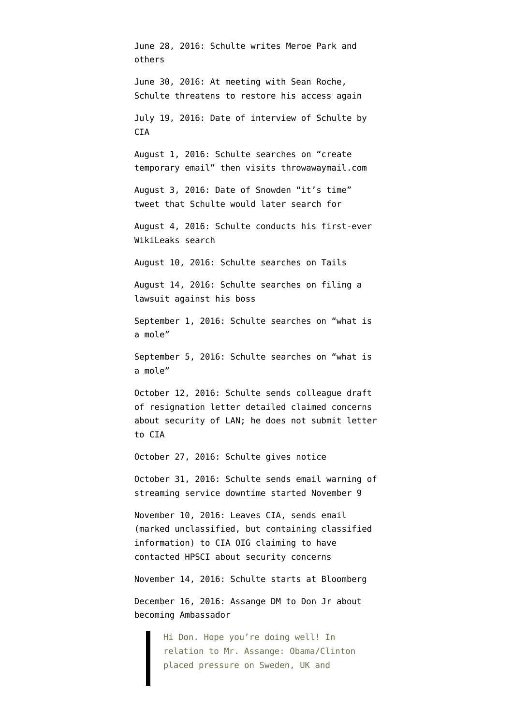June 28, 2016: Schulte writes Meroe Park and others June 30, 2016: At meeting with Sean Roche, Schulte threatens to restore his access again July 19, 2016: Date of interview of Schulte by CIA August 1, 2016: Schulte searches on "create temporary email" then visits throwawaymail.com August 3, 2016: Date of Snowden "it's time" tweet that Schulte would later search for August 4, 2016: Schulte conducts his first-ever WikiLeaks search August 10, 2016: Schulte searches on Tails August 14, 2016: Schulte searches on filing a lawsuit against his boss September 1, 2016: Schulte searches on "what is a mole" September 5, 2016: Schulte searches on "what is a mole" October 12, 2016: Schulte sends colleague draft of resignation letter detailed claimed concerns about security of LAN; he does not submit letter to CIA October 27, 2016: Schulte gives notice October 31, 2016: Schulte sends email warning of streaming service downtime started November 9 November 10, 2016: Leaves CIA, sends email (marked unclassified, but containing classified information) to CIA OIG claiming to have contacted HPSCI about security concerns November 14, 2016: Schulte starts at Bloomberg December 16, 2016: Assange DM to Don Jr about becoming Ambassador Hi Don. Hope you're doing well! In

relation to Mr. Assange: Obama/Clinton placed pressure on Sweden, UK and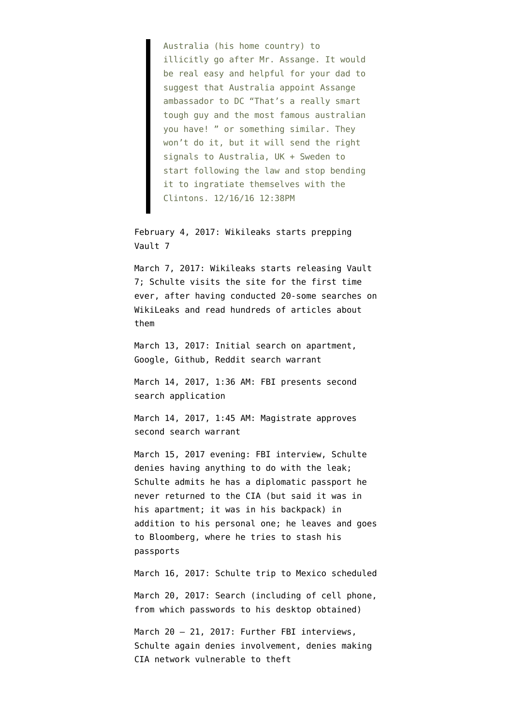Australia (his home country) to illicitly go after Mr. Assange. It would be real easy and helpful for your dad to suggest that Australia appoint Assange ambassador to DC "That's a really smart tough guy and the most famous australian you have! " or something similar. They won't do it, but it will send the right signals to Australia, UK + Sweden to start following the law and stop bending it to ingratiate themselves with the Clintons. 12/16/16 12:38PM

February 4, 2017: Wikileaks [starts](https://twitter.com/wikileaks/status/827828627488268290) prepping Vault 7

March 7, 2017: Wikileaks [starts](https://wikileaks.org/ciav7p1/?) releasing Vault 7; Schulte visits the site for the first time ever, after having conducted 20-some searches on WikiLeaks and read hundreds of articles about them

March 13, 2017: [Initial search](https://www.courtlistener.com/recap/gov.uscourts.nysd.480183/gov.uscourts.nysd.480183.111.1.pdf) on apartment, [Google, Github, Reddit search warrant](https://www.courtlistener.com/recap/gov.uscourts.nysd.480183/gov.uscourts.nysd.480183.111.3.pdf)

March 14, 2017, 1:36 AM: FBI [presents](https://www.courtlistener.com/recap/gov.uscourts.nysd.480183/gov.uscourts.nysd.480183.111.2.pdf) second search application

March 14, 2017, 1:45 AM: Magistrate approves second search warrant

March 15, 2017 evening: FBI interview, Schulte denies having anything to do with the leak; Schulte admits he has a diplomatic passport he never returned to the CIA (but said it was in his apartment; it was in his backpack) in addition to his personal one; he leaves and goes to Bloomberg, where he tries to stash his passports

March 16, 2017: Schulte trip to Mexico scheduled March 20, 2017: Search (including of cell phone, from which passwords to his desktop obtained)

March 20 - 21, 2017: Further FBI interviews, Schulte again denies involvement, denies making CIA network vulnerable to theft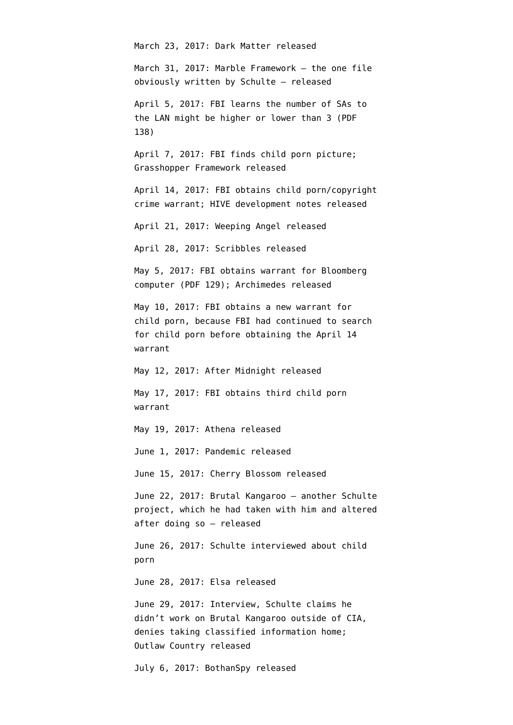March 23, 2017: Dark Matter released

March 31, 2017: Marble Framework — the one file obviously written by Schulte — released

April 5, 2017: FBI learns the number of SAs to the LAN might be higher or lower than 3 ([PDF](https://www.courtlistener.com/recap/gov.uscourts.nysd.480183/gov.uscourts.nysd.480183.111.3.pdf) [138\)](https://www.courtlistener.com/recap/gov.uscourts.nysd.480183/gov.uscourts.nysd.480183.111.3.pdf)

April 7, 2017: FBI finds child porn picture; Grasshopper Framework released

April 14, 2017: FBI [obtains](https://www.courtlistener.com/recap/gov.uscourts.nysd.480183/gov.uscourts.nysd.480183.111.3.pdf) child porn/copyright crime warrant; HIVE development notes released

April 21, 2017: Weeping Angel released

April 28, 2017: Scribbles released

May 5, 2017: FBI [obtains](https://www.documentcloud.org/documents/6182652-170517-Google-and-Other-Schulte-Warrants.html) warrant for Bloomberg computer (PDF 129); Archimedes released

May 10, 2017: FBI obtains a new warrant for child porn, because FBI had continued to search for child porn before obtaining the April 14 warrant

May 12, 2017: After Midnight released

May 17, 2017: FBI obtains third child porn warrant

May 19, 2017: Athena released

June 1, 2017: Pandemic released

June 15, 2017: Cherry Blossom released

June 22, 2017: Brutal Kangaroo — another Schulte project, which he had taken with him and altered after doing so — released

June 26, 2017: Schulte interviewed about child porn

June 28, 2017: Elsa released

June 29, 2017: Interview, Schulte claims he didn't work on Brutal Kangaroo outside of CIA, denies taking classified information home; Outlaw Country released

July 6, 2017: BothanSpy released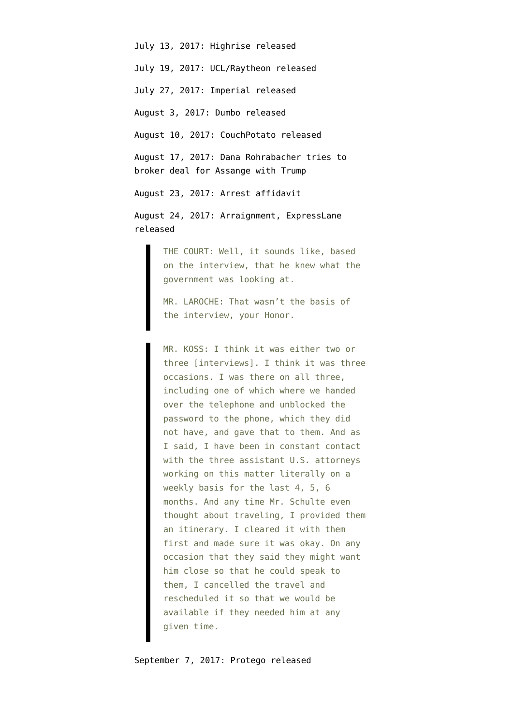July 13, 2017: Highrise released July 19, 2017: UCL/Raytheon released July 27, 2017: Imperial released August 3, 2017: Dumbo released August 10, 2017: CouchPotato released August 17, 2017: Dana Rohrabacher [tries to](https://www.emptywheel.net/2017/08/17/dana-rohrabacher-brokering-deal-for-man-publishing-a-cia-exploit-every-week/) [broker](https://www.emptywheel.net/2017/08/17/dana-rohrabacher-brokering-deal-for-man-publishing-a-cia-exploit-every-week/) deal for Assange with Trump August 23, 2017: Arrest [affidavit](https://www.courtlistener.com/recap/gov.uscourts.nysd.480183/gov.uscourts.nysd.480183.1.0.pdf) August 24, 2017: [Arraignment](https://www.courtlistener.com/recap/gov.uscourts.nysd.480183/gov.uscourts.nysd.480183.21.1.pdf), ExpressLane released

> THE COURT: Well, it sounds like, based on the interview, that he knew what the government was looking at.

MR. LAROCHE: That wasn't the basis of the interview, your Honor.

MR. KOSS: I think it was either two or three [interviews]. I think it was three occasions. I was there on all three, including one of which where we handed over the telephone and unblocked the password to the phone, which they did not have, and gave that to them. And as I said, I have been in constant contact with the three assistant U.S. attorneys working on this matter literally on a weekly basis for the last 4, 5, 6 months. And any time Mr. Schulte even thought about traveling, I provided them an itinerary. I cleared it with them first and made sure it was okay. On any occasion that they said they might want him close so that he could speak to them, I cancelled the travel and rescheduled it so that we would be available if they needed him at any given time.

September 7, 2017: Protego released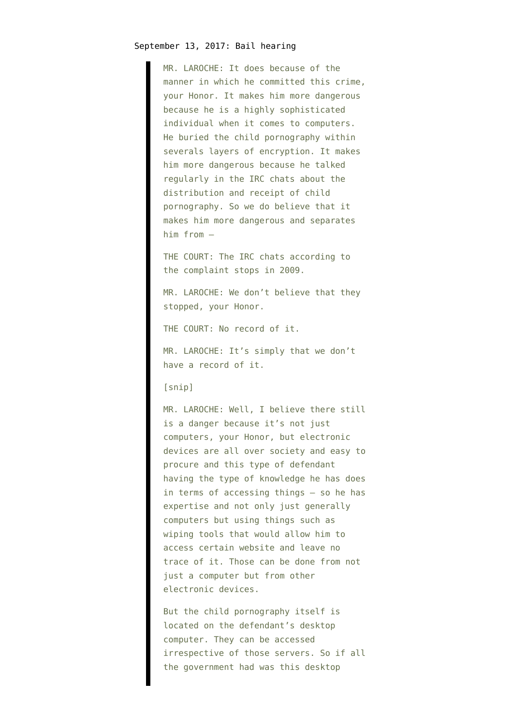MR. LAROCHE: It does because of the manner in which he committed this crime, your Honor. It makes him more dangerous because he is a highly sophisticated individual when it comes to computers. He buried the child pornography within severals layers of encryption. It makes him more dangerous because he talked regularly in the IRC chats about the distribution and receipt of child pornography. So we do believe that it makes him more dangerous and separates him from —

THE COURT: The IRC chats according to the complaint stops in 2009.

MR. LAROCHE: We don't believe that they stopped, your Honor.

THE COURT: No record of it.

MR. LAROCHE: It's simply that we don't have a record of it.

[snip]

MR. LAROCHE: Well, I believe there still is a danger because it's not just computers, your Honor, but electronic devices are all over society and easy to procure and this type of defendant having the type of knowledge he has does in terms of accessing things — so he has expertise and not only just generally computers but using things such as wiping tools that would allow him to access certain website and leave no trace of it. Those can be done from not just a computer but from other electronic devices.

But the child pornography itself is located on the defendant's desktop computer. They can be accessed irrespective of those servers. So if all the government had was this desktop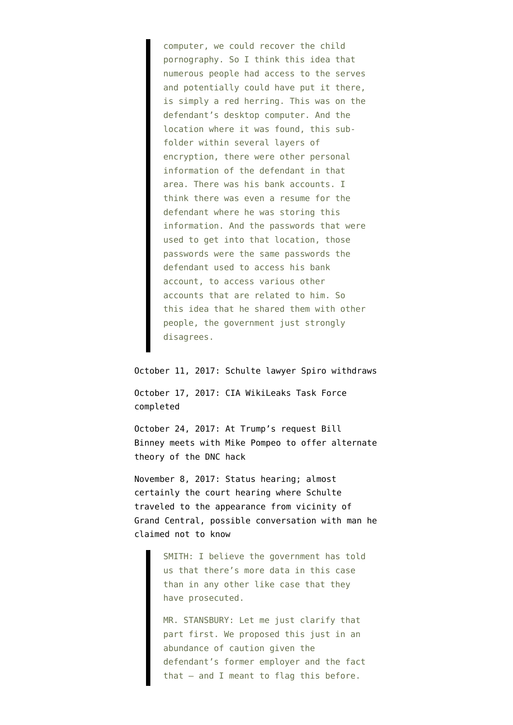computer, we could recover the child pornography. So I think this idea that numerous people had access to the serves and potentially could have put it there, is simply a red herring. This was on the defendant's desktop computer. And the location where it was found, this subfolder within several layers of encryption, there were other personal information of the defendant in that area. There was his bank accounts. I think there was even a resume for the defendant where he was storing this information. And the passwords that were used to get into that location, those passwords were the same passwords the defendant used to access his bank account, to access various other accounts that are related to him. So this idea that he shared them with other people, the government just strongly disagrees.

October 11, 2017: Schulte lawyer Spiro [withdraws](https://www.courtlistener.com/recap/gov.uscourts.nysd.480183/gov.uscourts.nysd.480183.14.0.pdf)

October 17, 2017: CIA WikiLeaks Task Force completed

October 24, 2017: At Trump's request Bill Binney [meets](https://theintercept.com/2017/11/07/dnc-hack-trump-cia-director-william-binney-nsa/) with Mike Pompeo to offer alternate theory of the DNC hack

November 8, 2017: Status [hearing;](https://www.courtlistener.com/recap/gov.uscourts.nysd.480183/gov.uscourts.nysd.480183.16.0.pdf) almost certainly the court hearing where Schulte traveled to the appearance from vicinity of Grand Central, possible conversation with man he claimed not to know

> SMITH: I believe the government has told us that there's more data in this case than in any other like case that they have prosecuted.

> MR. STANSBURY: Let me just clarify that part first. We proposed this just in an abundance of caution given the defendant's former employer and the fact that — and I meant to flag this before.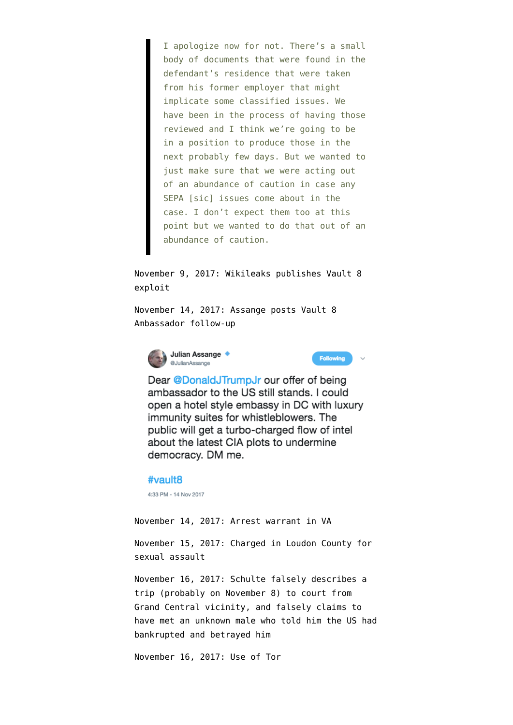I apologize now for not. There's a small body of documents that were found in the defendant's residence that were taken from his former employer that might implicate some classified issues. We have been in the process of having those reviewed and I think we're going to be in a position to produce those in the next probably few days. But we wanted to just make sure that we were acting out of an abundance of caution in case any SEPA [sic] issues come about in the case. I don't expect them too at this point but we wanted to do that out of an abundance of caution.

November 9, 2017: Wikileaks [publishes](https://wikileaks.org/vault8/#Hive) Vault 8 exploit

November 14, 2017: Assange [posts](https://twitter.com/JulianAssange/status/930473658572836864) Vault 8 Ambassador follow-up





Dear @DonaldJTrumpJr our offer of being ambassador to the US still stands. I could open a hotel style embassy in DC with luxury immunity suites for whistleblowers. The public will get a turbo-charged flow of intel about the latest CIA plots to undermine democracy. DM me.

#### #vault8

4:33 PM - 14 Nov 2017

November 14, 2017: Arrest warrant in VA

November 15, 2017: Charged in Loudon County for sexual assault

November 16, 2017: Schulte falsely describes a trip (probably on November 8) to court from Grand Central vicinity, and falsely claims to have met an unknown male who told him the US had bankrupted and betrayed him

November 16, 2017: Use of Tor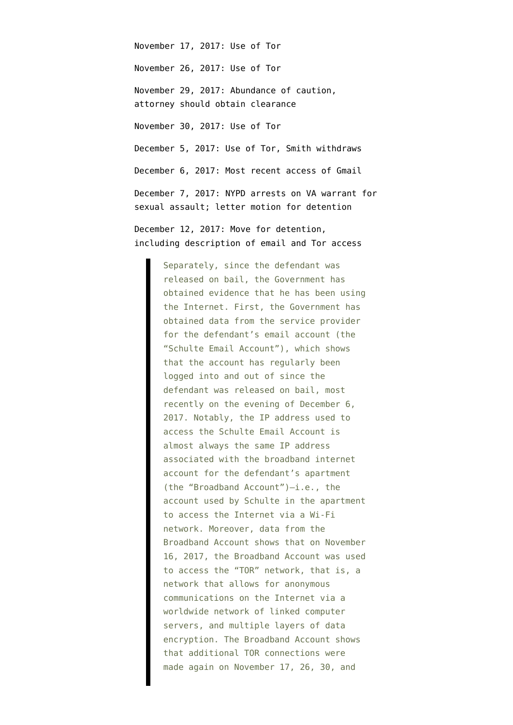November 17, 2017: Use of Tor November 26, 2017: Use of Tor November 29, 2017: Abundance of caution, attorney should obtain clearance November 30, 2017: Use of Tor December 5, 2017: Use of Tor, Smith withdraws December 6, 2017: Most recent access of Gmail December 7, 2017: NYPD arrests on VA warrant for sexual assault; [letter motion](https://www.courtlistener.com/recap/gov.uscourts.nysd.480183/gov.uscourts.nysd.480183.21.0.pdf) for detention

December 12, 2017: Move for detention, including [description](https://www.courtlistener.com/recap/gov.uscourts.nysd.480183/gov.uscourts.nysd.480183.21.0.pdf) of email and Tor access

> Separately, since the defendant was released on bail, the Government has obtained evidence that he has been using the Internet. First, the Government has obtained data from the service provider for the defendant's email account (the "Schulte Email Account"), which shows that the account has regularly been logged into and out of since the defendant was released on bail, most recently on the evening of December 6, 2017. Notably, the IP address used to access the Schulte Email Account is almost always the same IP address associated with the broadband internet account for the defendant's apartment (the "Broadband Account")—i.e., the account used by Schulte in the apartment to access the Internet via a Wi-Fi network. Moreover, data from the Broadband Account shows that on November 16, 2017, the Broadband Account was used to access the "TOR" network, that is, a network that allows for anonymous communications on the Internet via a worldwide network of linked computer servers, and multiple layers of data encryption. The Broadband Account shows that additional TOR connections were made again on November 17, 26, 30, and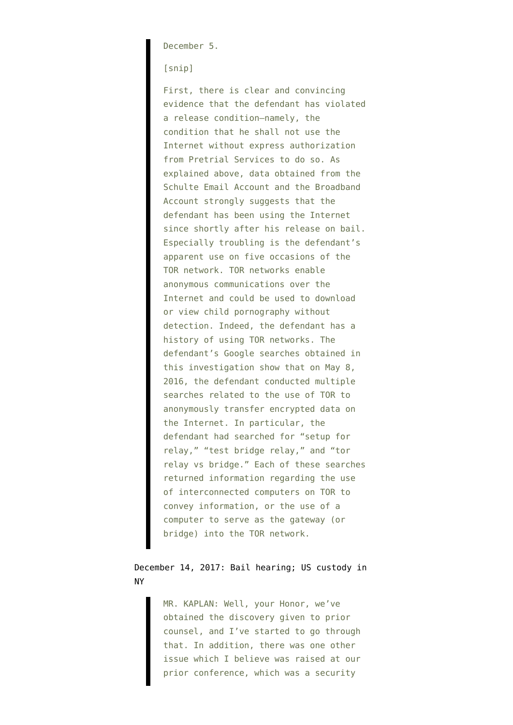December 5.

[snip]

First, there is clear and convincing evidence that the defendant has violated a release condition—namely, the condition that he shall not use the Internet without express authorization from Pretrial Services to do so. As explained above, data obtained from the Schulte Email Account and the Broadband Account strongly suggests that the defendant has been using the Internet since shortly after his release on bail. Especially troubling is the defendant's apparent use on five occasions of the TOR network. TOR networks enable anonymous communications over the Internet and could be used to download or view child pornography without detection. Indeed, the defendant has a history of using TOR networks. The defendant's Google searches obtained in this investigation show that on May 8, 2016, the defendant conducted multiple searches related to the use of TOR to anonymously transfer encrypted data on the Internet. In particular, the defendant had searched for "setup for relay," "test bridge relay," and "tor relay vs bridge." Each of these searches returned information regarding the use of interconnected computers on TOR to convey information, or the use of a computer to serve as the gateway (or bridge) into the TOR network.

## December 14, 2017: [Bail hearing;](https://www.courtlistener.com/recap/gov.uscourts.nysd.480183/gov.uscourts.nysd.480183.24.0.pdf) US custody in NY

MR. KAPLAN: Well, your Honor, we've obtained the discovery given to prior counsel, and I've started to go through that. In addition, there was one other issue which I believe was raised at our prior conference, which was a security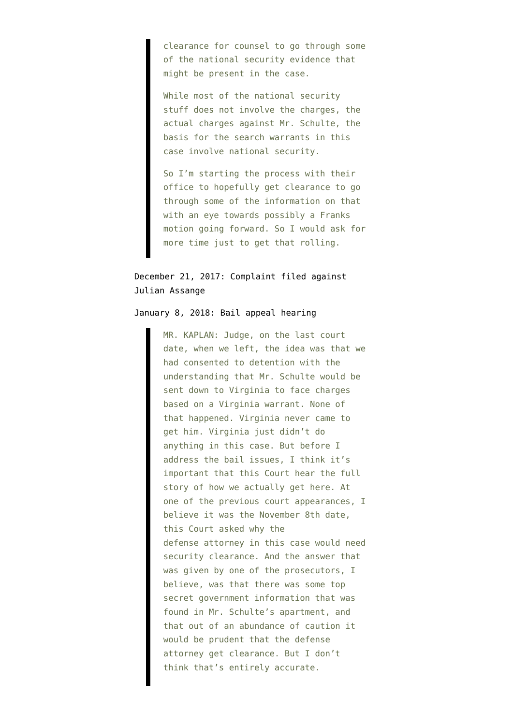clearance for counsel to go through some of the national security evidence that might be present in the case.

While most of the national security stuff does not involve the charges, the actual charges against Mr. Schulte, the basis for the search warrants in this case involve national security.

So I'm starting the process with their office to hopefully get clearance to go through some of the information on that with an eye towards possibly a Franks motion going forward. So I would ask for more time just to get that rolling.

## December 21, 2017: Complaint [filed](https://www.courtlistener.com/recap/gov.uscourts.vaed.384245/gov.uscourts.vaed.384245.2.0_3.pdf) against Julian Assange

#### January 8, 2018: Bail appeal [hearing](https://www.courtlistener.com/recap/gov.uscourts.nysd.480183/gov.uscourts.nysd.480183.29.0.pdf)

MR. KAPLAN: Judge, on the last court date, when we left, the idea was that we had consented to detention with the understanding that Mr. Schulte would be sent down to Virginia to face charges based on a Virginia warrant. None of that happened. Virginia never came to get him. Virginia just didn't do anything in this case. But before I address the bail issues, I think it's important that this Court hear the full story of how we actually get here. At one of the previous court appearances, I believe it was the November 8th date, this Court asked why the defense attorney in this case would need security clearance. And the answer that was given by one of the prosecutors, I believe, was that there was some top secret government information that was found in Mr. Schulte's apartment, and that out of an abundance of caution it would be prudent that the defense attorney get clearance. But I don't think that's entirely accurate.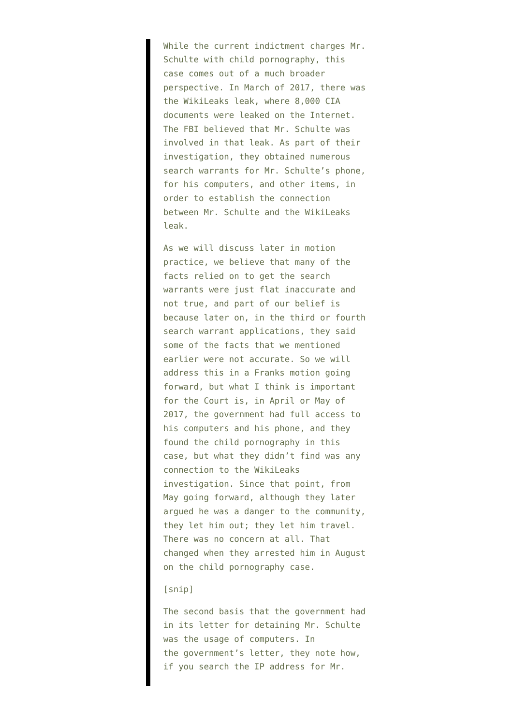While the current indictment charges Mr. Schulte with child pornography, this case comes out of a much broader perspective. In March of 2017, there was the WikiLeaks leak, where 8,000 CIA documents were leaked on the Internet. The FBI believed that Mr. Schulte was involved in that leak. As part of their investigation, they obtained numerous search warrants for Mr. Schulte's phone, for his computers, and other items, in order to establish the connection between Mr. Schulte and the WikiLeaks leak.

As we will discuss later in motion practice, we believe that many of the facts relied on to get the search warrants were just flat inaccurate and not true, and part of our belief is because later on, in the third or fourth search warrant applications, they said some of the facts that we mentioned earlier were not accurate. So we will address this in a Franks motion going forward, but what I think is important for the Court is, in April or May of 2017, the government had full access to his computers and his phone, and they found the child pornography in this case, but what they didn't find was any connection to the WikiLeaks investigation. Since that point, from May going forward, although they later argued he was a danger to the community, they let him out; they let him travel. There was no concern at all. That changed when they arrested him in August on the child pornography case.

#### [snip]

The second basis that the government had in its letter for detaining Mr. Schulte was the usage of computers. In the government's letter, they note how, if you search the IP address for Mr.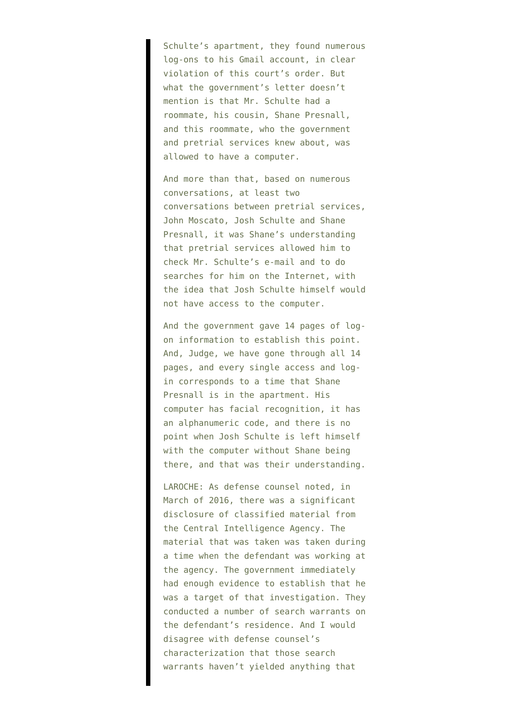Schulte's apartment, they found numerous log-ons to his Gmail account, in clear violation of this court's order. But what the government's letter doesn't mention is that Mr. Schulte had a roommate, his cousin, Shane Presnall, and this roommate, who the government and pretrial services knew about, was allowed to have a computer.

And more than that, based on numerous conversations, at least two conversations between pretrial services, John Moscato, Josh Schulte and Shane Presnall, it was Shane's understanding that pretrial services allowed him to check Mr. Schulte's e-mail and to do searches for him on the Internet, with the idea that Josh Schulte himself would not have access to the computer.

And the government gave 14 pages of logon information to establish this point. And, Judge, we have gone through all 14 pages, and every single access and login corresponds to a time that Shane Presnall is in the apartment. His computer has facial recognition, it has an alphanumeric code, and there is no point when Josh Schulte is left himself with the computer without Shane being there, and that was their understanding.

LAROCHE: As defense counsel noted, in March of 2016, there was a significant disclosure of classified material from the Central Intelligence Agency. The material that was taken was taken during a time when the defendant was working at the agency. The government immediately had enough evidence to establish that he was a target of that investigation. They conducted a number of search warrants on the defendant's residence. And I would disagree with defense counsel's characterization that those search warrants haven't yielded anything that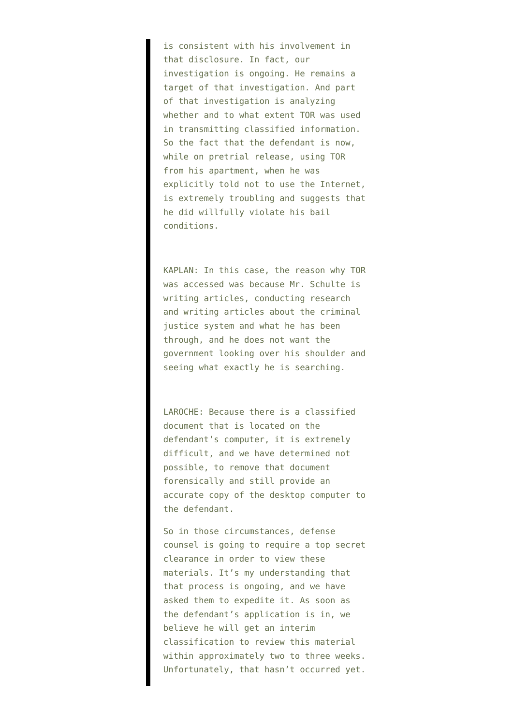is consistent with his involvement in that disclosure. In fact, our investigation is ongoing. He remains a target of that investigation. And part of that investigation is analyzing whether and to what extent TOR was used in transmitting classified information. So the fact that the defendant is now, while on pretrial release, using TOR from his apartment, when he was explicitly told not to use the Internet, is extremely troubling and suggests that he did willfully violate his bail conditions.

KAPLAN: In this case, the reason why TOR was accessed was because Mr. Schulte is writing articles, conducting research and writing articles about the criminal justice system and what he has been through, and he does not want the government looking over his shoulder and seeing what exactly he is searching.

LAROCHE: Because there is a classified document that is located on the defendant's computer, it is extremely difficult, and we have determined not possible, to remove that document forensically and still provide an accurate copy of the desktop computer to the defendant.

So in those circumstances, defense counsel is going to require a top secret clearance in order to view these materials. It's my understanding that that process is ongoing, and we have asked them to expedite it. As soon as the defendant's application is in, we believe he will get an interim classification to review this material within approximately two to three weeks. Unfortunately, that hasn't occurred yet.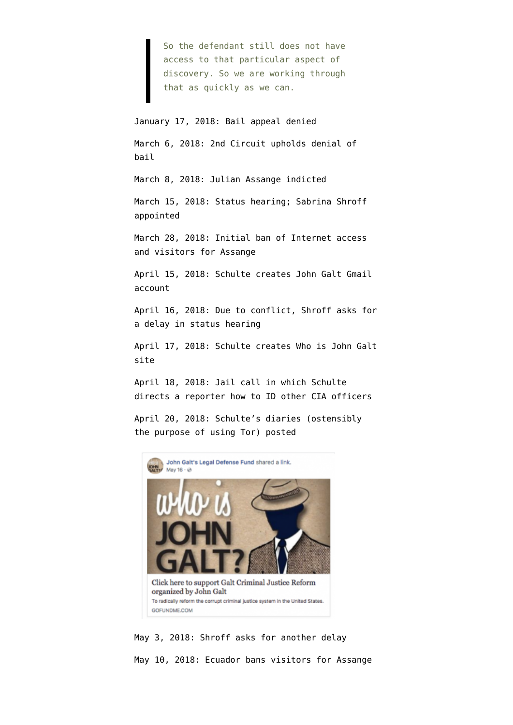So the defendant still does not have access to that particular aspect of discovery. So we are working through that as quickly as we can.

#### January 17, 2018: Bail appeal [denied](https://www.courtlistener.com/recap/gov.uscourts.nysd.480183/gov.uscourts.nysd.480183.26.0.pdf)

March 6, 2018: 2nd Circuit upholds denial of bail

March 8, 2018: Julian Assange [indicted](https://www.courtlistener.com/recap/gov.uscourts.vaed.384245/gov.uscourts.vaed.384245.8.0_2.pdf)

March 15, 2018: [Status hearing;](https://www.courtlistener.com/recap/gov.uscourts.nysd.480183/gov.uscourts.nysd.480183.34.0.pdf) Sabrina Shroff appointed

March 28, 2018: [Initial ban](https://www.emptywheel.net/2018/04/01/did-ecuador-gag-julian-assange-for-interference-in-spain-and-the-us/) of Internet access and visitors for Assange

April 15, 2018: Schulte creates John Galt Gmail account

April 16, 2018: Due to conflict, Shroff [asks](https://www.courtlistener.com/recap/gov.uscourts.nysd.480183/gov.uscourts.nysd.480183.36.0.pdf) for a delay in status hearing

April 17, 2018: Schulte creates Who is John Galt site

April 18, 2018: Jail call in which Schulte directs a reporter how to ID other CIA officers

April 20, 2018: Schulte's diaries (ostensibly the purpose of using Tor) [posted](https://www.facebook.com/John-Galts-Legal-Defense-Fund-225303401359184/)



May 3, 2018: Shroff [asks](https://www.courtlistener.com/recap/gov.uscourts.nysd.480183/gov.uscourts.nysd.480183.38.0.pdf) for another delay May 10, 2018: Ecuador bans visitors for Assange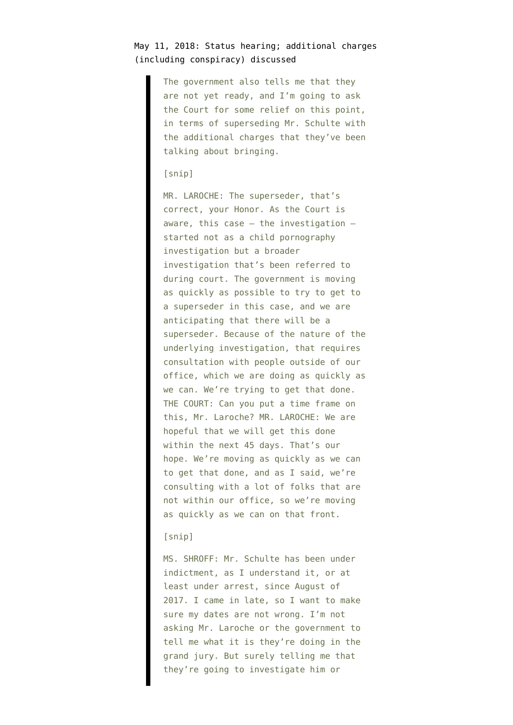## May 11, 2018: [Status hearing](https://www.courtlistener.com/recap/gov.uscourts.nysd.480183/gov.uscourts.nysd.480183.42.0.pdf); additional charges (including conspiracy) discussed

The government also tells me that they are not yet ready, and I'm going to ask the Court for some relief on this point, in terms of superseding Mr. Schulte with the additional charges that they've been talking about bringing.

### [snip]

MR. LAROCHE: The superseder, that's correct, your Honor. As the Court is aware, this case — the investigation started not as a child pornography investigation but a broader investigation that's been referred to during court. The government is moving as quickly as possible to try to get to a superseder in this case, and we are anticipating that there will be a superseder. Because of the nature of the underlying investigation, that requires consultation with people outside of our office, which we are doing as quickly as we can. We're trying to get that done. THE COURT: Can you put a time frame on this, Mr. Laroche? MR. LAROCHE: We are hopeful that we will get this done within the next 45 days. That's our hope. We're moving as quickly as we can to get that done, and as I said, we're consulting with a lot of folks that are not within our office, so we're moving as quickly as we can on that front.

#### [snip]

MS. SHROFF: Mr. Schulte has been under indictment, as I understand it, or at least under arrest, since August of 2017. I came in late, so I want to make sure my dates are not wrong. I'm not asking Mr. Laroche or the government to tell me what it is they're doing in the grand jury. But surely telling me that they're going to investigate him or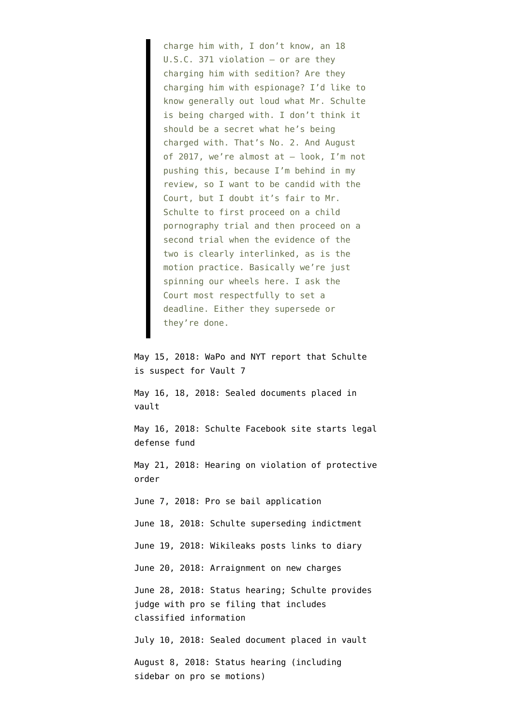charge him with, I don't know, an 18 U.S.C. 371 violation — or are they charging him with sedition? Are they charging him with espionage? I'd like to know generally out loud what Mr. Schulte is being charged with. I don't think it should be a secret what he's being charged with. That's No. 2. And August of 2017, we're almost at — look, I'm not pushing this, because I'm behind in my review, so I want to be candid with the Court, but I doubt it's fair to Mr. Schulte to first proceed on a child pornography trial and then proceed on a second trial when the evidence of the two is clearly interlinked, as is the motion practice. Basically we're just spinning our wheels here. I ask the Court most respectfully to set a deadline. Either they supersede or they're done.

May 15, 2018: [WaPo](https://www.washingtonpost.com/world/national-security/us-identifies-suspect-in-major-leak-of-cia-hacking-tools/2018/05/15/5d5ef3f8-5865-11e8-8836-a4a123c359ab_story.html) and NYT report that Schulte is suspect for Vault 7

May 16, 18, 2018: Sealed documents placed in vault

May 16, 2018: Schulte Facebook site [starts](https://www.facebook.com/John-Galts-Legal-Defense-Fund-225303401359184/) legal defense fund

May 21, 2018: [Hearing](https://www.courtlistener.com/recap/gov.uscourts.nysd.480183/gov.uscourts.nysd.480183.44.0.pdf) on violation of protective order

June 7, 2018: Pro se bail application

June 18, 2018: Schulte [superseding indictment](https://www.justice.gov/usao-sdny/pr/joshua-adam-schulte-charged-unauthorized-disclosure-classified-information-and-other)

June 19, 2018: Wikileaks [posts links](https://twitter.com/wikileaks/status/1009063659686055936) to diary

June 20, 2018: [Arraignment](https://www.courtlistener.com/recap/gov.uscourts.nysd.480183/gov.uscourts.nysd.480183.52.0.pdf) on new charges

June 28, 2018: [Status hearing](https://www.courtlistener.com/recap/gov.uscourts.nysd.480183/gov.uscourts.nysd.480183.57.0.pdf); Schulte provides judge with pro se filing that includes classified information

July 10, 2018: Sealed document placed in vault

August 8, 2018: [Status hearing](https://www.courtlistener.com/recap/gov.uscourts.nysd.480183/gov.uscourts.nysd.480183.62.0.pdf) (including sidebar on pro se motions)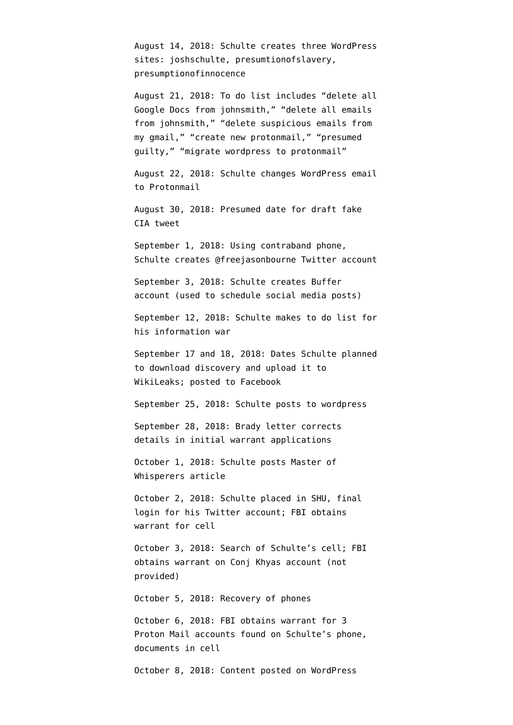August 14, 2018: Schulte creates three WordPress sites: joshschulte, presumtionofslavery, presumptionofinnocence

August 21, 2018: To do list includes "delete all Google Docs from johnsmith," "delete all emails from johnsmith," "delete suspicious emails from my gmail," "create new protonmail," "presumed guilty," "migrate wordpress to protonmail"

August 22, 2018: Schulte changes WordPress email to Protonmail

August 30, 2018: Presumed date for draft fake CIA tweet

September 1, 2018: Using contraband phone, Schulte creates @freejasonbourne Twitter account

September 3, 2018: Schulte creates Buffer account (used to schedule social media posts)

September 12, 2018: Schulte makes to do list for his information war

September 17 and 18, 2018: Dates Schulte planned to download discovery and upload it to WikiLeaks; posted to Facebook

September 25, 2018: Schulte posts to wordpress

September 28, 2018: [Brady letter](https://www.courtlistener.com/recap/gov.uscourts.nysd.480183/gov.uscourts.nysd.480183.111.6.pdf) corrects details in initial warrant applications

October 1, 2018: Schulte posts Master of Whisperers article

October 2, 2018: Schulte placed in SHU, final login for his Twitter account; FBI obtains warrant for cell

October 3, 2018: Search of Schulte's cell; FBI obtains warrant on Conj Khyas account (not provided)

October 5, 2018: Recovery of phones

October 6, 2018: FBI obtains warrant for [3](https://www.documentcloud.org/documents/6161255-190618-ProtonMail-Affy.html) [Proton Mail accounts](https://www.documentcloud.org/documents/6161255-190618-ProtonMail-Affy.html) found on Schulte's phone, [documents in cell](https://www.documentcloud.org/documents/6161399-190618-Documents-Affy.html)

October 8, 2018: Content posted on WordPress